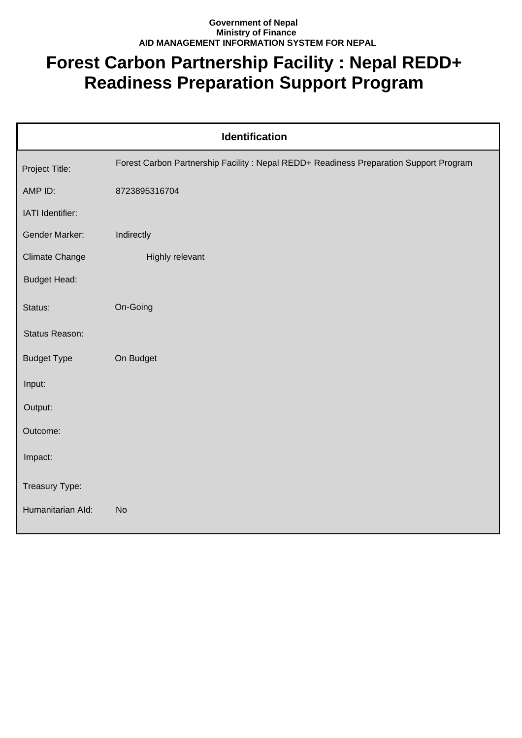## **Government of Nepal Ministry of Finance AID MANAGEMENT INFORMATION SYSTEM FOR NEPAL**

## **Forest Carbon Partnership Facility : Nepal REDD+ Readiness Preparation Support Program**

| Identification        |                                                                                       |  |
|-----------------------|---------------------------------------------------------------------------------------|--|
| Project Title:        | Forest Carbon Partnership Facility: Nepal REDD+ Readiness Preparation Support Program |  |
| AMP ID:               | 8723895316704                                                                         |  |
| IATI Identifier:      |                                                                                       |  |
| Gender Marker:        | Indirectly                                                                            |  |
| <b>Climate Change</b> | Highly relevant                                                                       |  |
| <b>Budget Head:</b>   |                                                                                       |  |
| Status:               | On-Going                                                                              |  |
| Status Reason:        |                                                                                       |  |
| <b>Budget Type</b>    | On Budget                                                                             |  |
| Input:                |                                                                                       |  |
| Output:               |                                                                                       |  |
| Outcome:              |                                                                                       |  |
| Impact:               |                                                                                       |  |
| Treasury Type:        |                                                                                       |  |
| Humanitarian Ald:     | <b>No</b>                                                                             |  |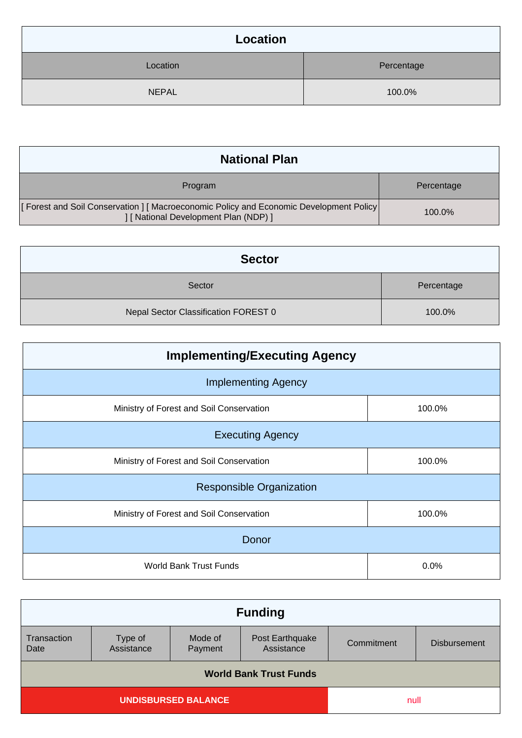| Location     |            |
|--------------|------------|
| Location     | Percentage |
| <b>NEPAL</b> | 100.0%     |

| <b>National Plan</b>                                                                                                              |            |
|-----------------------------------------------------------------------------------------------------------------------------------|------------|
| Program                                                                                                                           | Percentage |
| [Forest and Soil Conservation ] [ Macroeconomic Policy and Economic Development Policy  <br>  [ National Development Plan (NDP) ] | 100.0%     |

| <b>Sector</b>                        |            |
|--------------------------------------|------------|
| Sector                               | Percentage |
| Nepal Sector Classification FOREST 0 | 100.0%     |

| <b>Implementing/Executing Agency</b>     |        |  |
|------------------------------------------|--------|--|
| <b>Implementing Agency</b>               |        |  |
| Ministry of Forest and Soil Conservation | 100.0% |  |
| <b>Executing Agency</b>                  |        |  |
| Ministry of Forest and Soil Conservation | 100.0% |  |
| <b>Responsible Organization</b>          |        |  |
| Ministry of Forest and Soil Conservation | 100.0% |  |
| Donor                                    |        |  |
| <b>World Bank Trust Funds</b>            | 0.0%   |  |

| <b>Funding</b>                |                       |                    |                               |            |                     |
|-------------------------------|-----------------------|--------------------|-------------------------------|------------|---------------------|
| Transaction<br>Date           | Type of<br>Assistance | Mode of<br>Payment | Post Earthquake<br>Assistance | Commitment | <b>Disbursement</b> |
| <b>World Bank Trust Funds</b> |                       |                    |                               |            |                     |
| <b>UNDISBURSED BALANCE</b>    |                       | null               |                               |            |                     |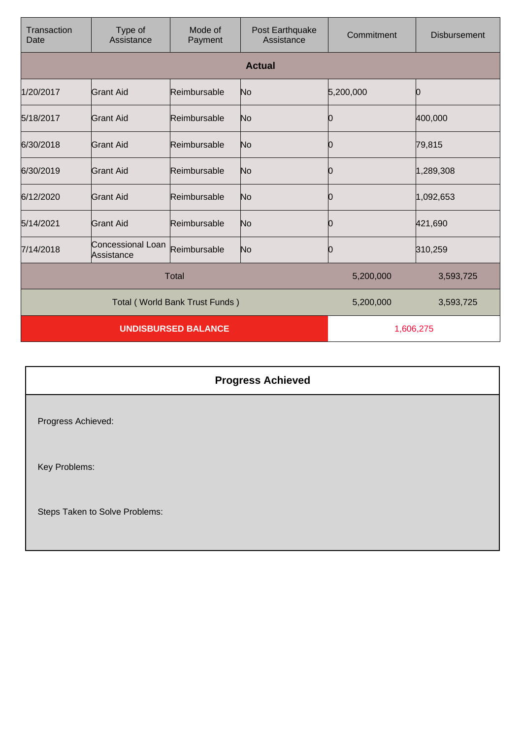| Transaction<br>Date            | Type of<br>Assistance           | Mode of<br>Payment | Post Earthquake<br>Assistance | Commitment | <b>Disbursement</b> |
|--------------------------------|---------------------------------|--------------------|-------------------------------|------------|---------------------|
|                                |                                 |                    | <b>Actual</b>                 |            |                     |
| 1/20/2017                      | Grant Aid                       | Reimbursable       | No                            | 5,200,000  | O                   |
| 5/18/2017                      | <b>Grant Aid</b>                | Reimbursable       | No                            | 0          | 400,000             |
| 6/30/2018                      | Grant Aid                       | Reimbursable       | No                            | 0          | 79,815              |
| 6/30/2019                      | Grant Aid                       | Reimbursable       | No                            | 10         | 1,289,308           |
| 6/12/2020                      | Grant Aid                       | Reimbursable       | No                            | 0          | 1,092,653           |
| 5/14/2021                      | <b>Grant Aid</b>                | Reimbursable       | No                            | 0          | 421,690             |
| 7/14/2018                      | Concessional Loan<br>Assistance | Reimbursable       | No                            | 0          | 310,259             |
| <b>Total</b>                   |                                 |                    | 5,200,000                     | 3,593,725  |                     |
| Total (World Bank Trust Funds) |                                 |                    | 5,200,000                     | 3,593,725  |                     |
| <b>UNDISBURSED BALANCE</b>     |                                 |                    | 1,606,275                     |            |                     |

## **Progress Achieved** Progress Achieved: Key Problems: Steps Taken to Solve Problems: